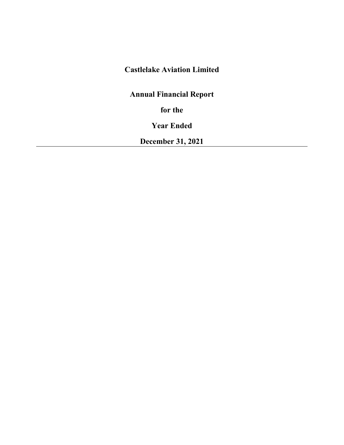# **Castlelake Aviation Limited**

**Annual Financial Report**

**for the** 

**Year Ended**

**December 31, 2021**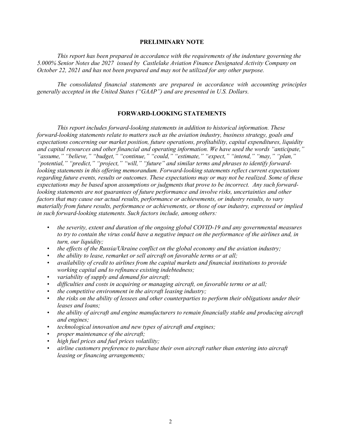# **PRELIMINARY NOTE**

*This report has been prepared in accordance with the requirements of the indenture governing the 5.000% Senior Notes due 2027 issued by Castlelake Aviation Finance Designated Activity Company on October 22, 2021 and has not been prepared and may not be utilized for any other purpose.* 

*The consolidated financial statements are prepared in accordance with accounting principles generally accepted in the United States ("GAAP") and are presented in U.S. Dollars.*

## **FORWARD-LOOKING STATEMENTS**

*This report includes forward-looking statements in addition to historical information. These forward-looking statements relate to matters such as the aviation industry, business strategy, goals and expectations concerning our market position, future operations, profitability, capital expenditures, liquidity and capital resources and other financial and operating information. We have used the words "anticipate," "assume," "believe," "budget," "continue," "could," "estimate," "expect," "intend," "may," "plan," "potential," "predict," "project," "will," "future" and similar terms and phrases to identify forwardlooking statements in this offering memorandum. Forward-looking statements reflect current expectations regarding future events, results or outcomes. These expectations may or may not be realized. Some of these expectations may be based upon assumptions or judgments that prove to be incorrect. Any such forwardlooking statements are not guarantees of future performance and involve risks, uncertainties and other factors that may cause our actual results, performance or achievements, or industry results, to vary materially from future results, performance or achievements, or those of our industry, expressed or implied in such forward-looking statements. Such factors include, among others:* 

- *the severity, extent and duration of the ongoing global COVID-19 and any governmental measures to try to contain the virus could have a negative impact on the performance of the airlines and, in turn, our liquidity;*
- *the effects of the Russia/Ukraine conflict on the global economy and the aviation industry;*
- *the ability to lease, remarket or sell aircraft on favorable terms or at all;*
- *availability of credit to airlines from the capital markets and financial institutions to provide working capital and to refinance existing indebtedness;*
- *variability of supply and demand for aircraft;*
- *difficulties and costs in acquiring or managing aircraft, on favorable terms or at all;*
- *the competitive environment in the aircraft leasing industry;*
- *the risks on the ability of lessees and other counterparties to perform their obligations under their leases and loans;*
- *the ability of aircraft and engine manufacturers to remain financially stable and producing aircraft and engines;*
- *technological innovation and new types of aircraft and engines;*
- *proper maintenance of the aircraft;*
- *high fuel prices and fuel prices volatility;*
- *airline customers preference to purchase their own aircraft rather than entering into aircraft leasing or financing arrangements;*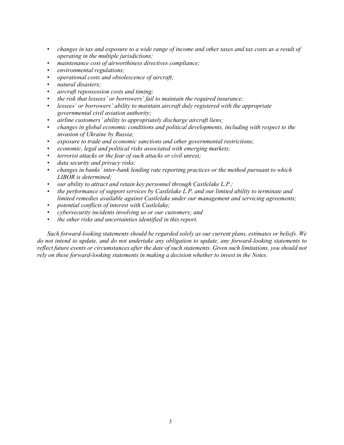- *changes in tax and exposure to a wide range of income and other taxes and tax costs as a result of operating in the multiple jurisdictions;*
- *maintenance cost of airworthiness directives compliance;*
- *environmental regulations;*
- *operational costs and obsolescence of aircraft;*
- *natural disasters;*
- *aircraft repossession costs and timing;*
- *the risk that lessees' or borrowers' fail to maintain the required insurance;*
- *lessees' or borrowers' ability to maintain aircraft duly registered with the appropriate governmental civil aviation authority;*
- *airline customers' ability to appropriately discharge aircraft liens;*
- *changes in global economic conditions and political developments, including with respect to the invasion of Ukraine by Russia;*
- *exposure to trade and economic sanctions and other governmental restrictions;*
- *economic, legal and political risks associated with emerging markets;*
- *terrorist attacks or the fear of such attacks or civil unrest;*
- *data security and privacy risks;*
- *changes in banks' inter-bank lending rate reporting practices or the method pursuant to which LIBOR is determined;*
- *our ability to attract and retain key personnel through Castlelake L.P.;*
- *the performance of support services by Castlelake L.P. and our limited ability to terminate and limited remedies available against Castlelake under our management and servicing agreements;*
- *potential conflicts of interest with Castlelake;*
- *cybersecurity incidents involving us or our customers; and*
- *the other risks and uncertainties identified in this report.*

*Such forward-looking statements should be regarded solely as our current plans, estimates or beliefs. We do not intend to update, and do not undertake any obligation to update, any forward-looking statements to reflect future events or circumstances after the date of such statements. Given such limitations, you should not rely on these forward-looking statements in making a decision whether to invest in the Notes.*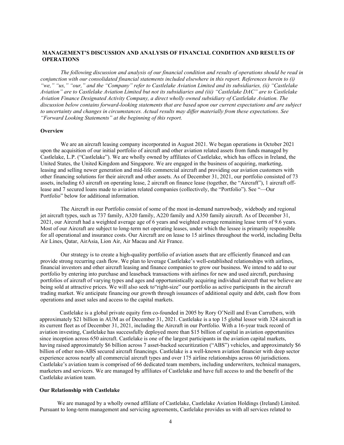## **MANAGEMENT'S DISCUSSION AND ANALYSIS OF FINANCIAL CONDITION AND RESULTS OF OPERATIONS**

*The following discussion and analysis of our financial condition and results of operations should be read in conjunction with our consolidated financial statements included elsewhere in this report. References herein to (i) "we," "us," "our," and the "Company" refer to Castlelake Aviation Limited and its subsidiaries, (ii) "Castlelake Aviation" are to Castlelake Aviation Limited but not its subsidiaries and (iii) "Castlelake DAC" are to Castlelake Aviation Finance Designated Activity Company, a direct wholly owned subsidiary of Castlelake Aviation. The discussion below contains forward-looking statements that are based upon our current expectations and are subject to uncertainty and changes in circumstances. Actual results may differ materially from these expectations. See "Forward Looking Statements" at the beginning of this report.* 

### **Overview**

We are an aircraft leasing company incorporated in August 2021. We began operations in October 2021 upon the acquisition of our initial portfolio of aircraft and other aviation related assets from funds managed by Castlelake, L.P. ("Castlelake"). We are wholly owned by affiliates of Castlelake, which has offices in Ireland, the United States, the United Kingdom and Singapore. We are engaged in the business of acquiring, marketing, leasing and selling newer generation and mid-life commercial aircraft and providing our aviation customers with other financing solutions for their aircraft and other assets. As of December 31, 2021, our portfolio consisted of 73 assets, including 63 aircraft on operating lease, 2 aircraft on finance lease (together, the "Aircraft"), 1 aircraft offlease and 7 secured loans made to aviation related companies (collectively, the "Portfolio"). See "—Our Portfolio" below for additional information.

The Aircraft in our Portfolio consist of some of the most in-demand narrowbody, widebody and regional jet aircraft types, such as 737 family, A320 family, A220 family and A350 family aircraft. As of December 31, 2021, our Aircraft had a weighted average age of 6 years and weighted average remaining lease term of 9.6 years. Most of our Aircraft are subject to long-term net operating leases, under which the lessee is primarily responsible for all operational and insurance costs. Our Aircraft are on lease to 15 airlines throughout the world, including Delta Air Lines, Qatar, AirAsia, Lion Air, Air Macau and Air France.

Our strategy is to create a high-quality portfolio of aviation assets that are efficiently financed and can provide strong recurring cash flow. We plan to leverage Castlelake's well-established relationships with airlines, financial investors and other aircraft leasing and finance companies to grow our business. We intend to add to our portfolio by entering into purchase and leaseback transactions with airlines for new and used aircraft, purchasing portfolios of aircraft of varying types and ages and opportunistically acquiring individual aircraft that we believe are being sold at attractive prices. We will also seek to"right-size" our portfolio as active participants in the aircraft trading market. We anticipate financing our growth through issuances of additional equity and debt, cash flow from operations and asset sales and access to the capital markets.

Castlelake is a global private equity firm co-founded in 2005 by Rory O'Neill and Evan Carruthers, with approximately \$21 billion in AUM as of December 31, 2021. Castlelake is a top 15 global lessor with 324 aircraft in its current fleet as of December 31, 2021, including the Aircraft in our Portfolio. With a 16-year track record of aviation investing, Castlelake has successfully deployed more than \$15 billion of capital in aviation opportunities since inception across 650 aircraft. Castlelake is one of the largest participants in the aviation capital markets, having raised approximately \$6 billion across 7 asset-backed securitization ("ABS") vehicles, and approximately \$6 billion of other non-ABS secured aircraft financings. Castlelake is a well-known aviation financier with deep sector experience across nearly all commercial aircraft types and over 175 airline relationships across 60 jurisdictions. Castlelake's aviation team is comprised of 66 dedicated team members, including underwriters, technical managers, marketers and servicers. We are managed by affiliates of Castlelake and have full access to and the benefit of the Castlelake aviation team.

#### **Our Relationship with Castlelake**

We are managed by a wholly owned affiliate of Castlelake, Castlelake Aviation Holdings (Ireland) Limited. Pursuant to long-term management and servicing agreements, Castlelake provides us with all services related to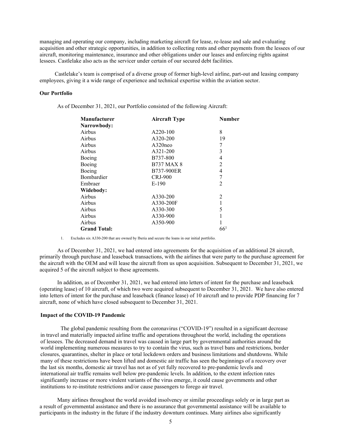managing and operating our company, including marketing aircraft for lease, re-lease and sale and evaluating acquisition and other strategic opportunities, in addition to collecting rents and other payments from the lessees of our aircraft, monitoring maintenance, insurance and other obligations under our leases and enforcing rights against lessees. Castlelake also acts as the servicer under certain of our secured debt facilities.

Castlelake's team is comprised of a diverse group of former high-level airline, part-out and leasing company employees, giving it a wide range of experience and technical expertise within the aviation sector.

#### **Our Portfolio**

As of December 31, 2021, our Portfolio consisted of the following Aircraft:

| <b>Manufacturer</b> | <b>Aircraft Type</b> | Number         |
|---------------------|----------------------|----------------|
| Narrowbody:         |                      |                |
| Airbus              | A220-100             | 8              |
| Airbus              | A320-200             | 19             |
| Airbus              | $A320$ neo           | 7              |
| Airbus              | A321-200             | 3              |
| Boeing              | B737-800             | 4              |
| Boeing              | <b>B737 MAX 8</b>    | $\overline{2}$ |
| Boeing              | B737-900ER           | 4              |
| Bombardier          | <b>CRJ-900</b>       | 7              |
| Embraer             | $E-190$              | $\overline{2}$ |
| Widebody:           |                      |                |
| Airbus              | A330-200             | 2              |
| Airbus              | A330-200F            | 1              |
| Airbus              | A330-300             | 5              |
| Airbus              | A330-900             | 1              |
| Airbus              | A350-900             |                |
| <b>Grand Total:</b> |                      | $66^{1}$       |

1. Excludes six A330-200 that are owned by Iberia and secure the loans in our initial portfolio.

As of December 31, 2021, we had entered into agreements for the acquisition of an additional 28 aircraft, primarily through purchase and leaseback transactions, with the airlines that were party to the purchase agreement for the aircraft with the OEM and will lease the aircraft from us upon acquisition. Subsequent to December 31, 2021, we acquired 5 of the aircraft subject to these agreements.

In addition, as of December 31, 2021, we had entered into letters of intent for the purchase and leaseback (operating lease) of 10 aircraft, of which two were acquired subsequent to December 31, 2021. We have also entered into letters of intent for the purchase and leaseback (finance lease) of 10 aircraft and to provide PDP financing for 7 aircraft, none of which have closed subsequent to December 31, 2021.

## **Impact of the COVID-19 Pandemic**

The global pandemic resulting from the coronavirus ("COVID-19") resulted in a significant decrease in travel and materially impacted airline traffic and operations throughout the world, including the operations of lessees. The decreased demand in travel was caused in large part by governmental authorities around the world implementing numerous measures to try to contain the virus, such as travel bans and restrictions, border closures, quarantines, shelter in place or total lockdown orders and business limitations and shutdowns. While many of these restrictions have been lifted and domestic air traffic has seen the beginnings of a recovery over the last six months, domestic air travel has not as of yet fully recovered to pre-pandemic levels and international air traffic remains well below pre-pandemic levels. In addition, to the extent infection rates significantly increase or more virulent variants of the virus emerge, it could cause governments and other institutions to re-institute restrictions and/or cause passengers to forego air travel.

Many airlines throughout the world avoided insolvency or similar proceedings solely or in large part as a result of governmental assistance and there is no assurance that governmental assistance will be available to participants in the industry in the future if the industry downturn continues. Many airlines also significantly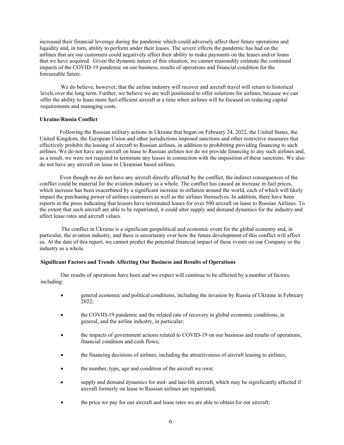increased their financial leverage during the pandemic which could adversely affect their future operations and liquidity and, in turn, ability to perform under their leases. The severe effects the pandemic has had on the airlines that are our customers could negatively affect their ability to make payments on the leases and/or loans that we have acquired. Given the dynamic nature of this situation, we cannot reasonably estimate the continued impacts of the COVID-19 pandemic on our business, results of operations and financial condition for the foreseeable future.

We do believe, however, that the airline industry will recover and aircraft travel will return to historical levels over the long term. Further, we believe we are well positioned to offer solutions for airlines, because we can offer the ability to lease more fuel-efficient aircraft at a time when airlines will be focused on reducing capital requirements and managing costs.

## **Ukraine/Russia Conflict**

Following the Russian military actions in Ukraine that began on February 24, 2022, the United States, the United Kingdom, the European Union and other jurisdictions imposed sanctions and other restrictive measures that effectively prohibit the leasing of aircraft to Russian airlines, in addition to prohibiting providing financing to such airlines. We do not have any aircraft on lease to Russian airlines nor do we provide financing to any such airlines and, as a result, we were not required to terminate any leases in connection with the imposition of these sanctions. We also do not have any aircraft on lease to Ukrainian based airlines.

Even though we do not have any aircraft directly affected by the conflict, the indirect consequences of the conflict could be material for the aviation industry as a whole. The conflict has caused an increase in fuel prices, which increase has been exacerbated by a significant increase in inflation around the world, each of which will likely impact the purchasing power of airlines customers as well as the airlines themselves. In addition, there have been reports in the press indicating that lessors have terminated leases for over 500 aircraft on lease to Russian Airlines. To the extent that such aircraft are able to be repatriated, it could alter supply and demand dynamics for the industry and affect lease rates and aircraft values.

The conflict in Ukraine is a significant geopolitical and economic event for the global economy and, in particular, the aviation industry, and there is uncertainty over how the future development of this conflict will affect us. At the date of this report, we cannot predict the potential financial impact of these events on our Company or the industry as a whole.

## **Significant Factors and Trends Affecting Our Business and Results of Operations**

Our results of operations have been and we expect will continue to be affected by a number of factors, including:

- general economic and political conditions, including the invasion by Russia of Ukraine in February 2022;
- the COVID-19 pandemic and the related rate of recovery in global economic conditions, in general, and the airline industry, in particular;
- the impacts of government actions related to COVID-19 on our business and results of operations, financial condition and cash flows;
- the financing decisions of airlines, including the attractiveness of aircraft leasing to airlines;
- the number, type, age and condition of the aircraft we own;
- supply and demand dynamics for mid- and late-life aircraft, which may be significantly affected if aircraft formerly on lease to Russian airlines are repatriated;
- the price we pay for our aircraft and lease rates we are able to obtain for our aircraft;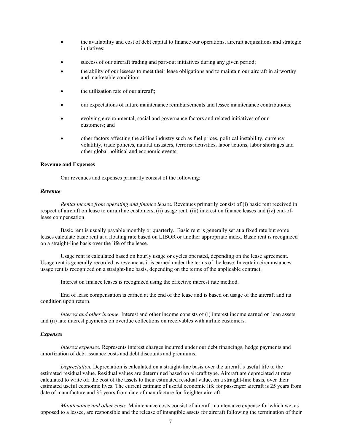- the availability and cost of debt capital to finance our operations, aircraft acquisitions and strategic initiatives;
- success of our aircraft trading and part-out initiatives during any given period;
- the ability of our lessees to meet their lease obligations and to maintain our aircraft in airworthy and marketable condition;
- the utilization rate of our aircraft;
- our expectations of future maintenance reimbursements and lessee maintenance contributions;
- evolving environmental, social and governance factors and related initiatives of our customers; and
- other factors affecting the airline industry such as fuel prices, political instability, currency volatility, trade policies, natural disasters, terrorist activities, labor actions, labor shortages and other global political and economic events.

#### **Revenue and Expenses**

Our revenues and expenses primarily consist of the following:

#### *Revenue*

*Rental income from operating and finance leases.* Revenues primarily consist of (i) basic rent received in respect of aircraft on lease to ourairline customers, (ii) usage rent, (iii) interest on finance leases and (iv) end-oflease compensation.

Basic rent is usually payable monthly or quarterly. Basic rent is generally set at a fixed rate but some leases calculate basic rent at a floating rate based on LIBOR or another appropriate index. Basic rent is recognized on a straight-line basis over the life of the lease.

Usage rent is calculated based on hourly usage or cycles operated, depending on the lease agreement. Usage rent is generally recorded as revenue as it is earned under the terms of the lease. In certain circumstances usage rent is recognized on a straight-line basis, depending on the terms of the applicable contract.

Interest on finance leases is recognized using the effective interest rate method.

End of lease compensation is earned at the end of the lease and is based on usage of the aircraft and its condition upon return.

*Interest and other income.* Interest and other income consists of (i) interest income earned on loan assets and (ii) late interest payments on overdue collections on receivables with airline customers.

## *Expenses*

*Interest expenses.* Represents interest charges incurred under our debt financings, hedge payments and amortization of debt issuance costs and debt discounts and premiums.

*Depreciation.* Depreciation is calculated on a straight-line basis over the aircraft's useful life to the estimated residual value. Residual values are determined based on aircraft type. Aircraft are depreciated at rates calculated to write off the cost of the assets to their estimated residual value, on a straight-line basis, over their estimated useful economic lives. The current estimate of useful economic life for passenger aircraft is 25 years from date of manufacture and 35 years from date of manufacture for freighter aircraft.

*Maintenance and other costs.* Maintenance costs consist of aircraft maintenance expense for which we, as opposed to a lessee, are responsible and the release of intangible assets for aircraft following the termination of their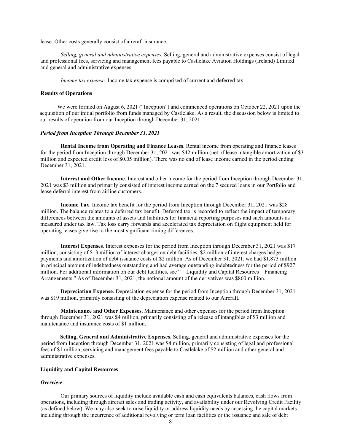lease. Other costs generally consist of aircraft insurance.

*Selling, general and administrative expenses.* Selling, general and administrative expenses consist of legal and professional fees, servicing and management fees payable to Castlelake Aviation Holdings (Ireland) Limited and general and administrative expenses.

*Income tax expense.* Income tax expense is comprised of current and deferred tax.

#### **Results of Operations**

 We were formed on August 6, 2021 ("Inception") and commenced operations on October 22, 2021 upon the acquisition of our initial portfolio from funds managed by Castlelake. As a result, the discussion below is limited to our results of operation from our Inception through December 31, 2021.

## *Period from Inception Through December 31, 2021*

**Rental Income from Operating and Finance Leases**. Rental income from operating and finance leases for the period from Inception through December 31, 2021 was \$42 million (net of lease intangible amortization of \$3 million and expected credit loss of \$0.05 million). There was no end of lease income earned in the period ending December 31, 2021.

**Interest and Other Income**. Interest and other income for the period from Inception through December 31, 2021 was \$3 million and primarily consisted of interest income earned on the 7 secured loans in our Portfolio and lease deferral interest from airline customers.

**Income Tax**. Income tax benefit for the period from Inception through December 31, 2021 was \$28 million. The balance relates to a deferred tax benefit. Deferred tax is recorded to reflect the impact of temporary differences between the amounts of assets and liabilities for financial reporting purposes and such amounts as measured under tax law. Tax loss carry forwards and accelerated tax depreciation on flight equipment held for operating leases give rise to the most significant timing differences.

**Interest Expenses***.* Interest expenses for the period from Inception through December 31, 2021 was \$17 million, consisting of \$13 million of interest charges on debt facilities, \$2 million of interest charges hedge payments and amortization of debt issuance costs of \$2 million. As of December 31, 2021, we had \$1,873 million in principal amount of indebtedness outstanding and had average outstanding indebtedness for the period of \$927 million. For additional information on our debt facilities, see "—Liquidity and Capital Resources—Financing Arrangements." As of December 31, 2021, the notional amount of the derivatives was \$860 million.

**Depreciation Expense***.* Depreciation expense for the period from Inception through December 31, 2021 was \$19 million, primarily consisting of the depreciation expense related to our Aircraft.

**Maintenance and Other Expenses.** Maintenance and other expenses for the period from Inception through December 31, 2021 was \$4 million, primarily consisting of a release of intangibles of \$3 million and maintenance and insurance costs of \$1 million.

 **Selling, General and Administrative Expenses.** Selling, general and administrative expenses for the period from Inception through December 31, 2021 was \$4 million, primarily consisting of legal and professional fees of \$1 million, servicing and management fees payable to Castlelake of \$2 million and other general and administrative expenses.

## **Liquidity and Capital Resources**

#### *Overview*

Our primary sources of liquidity include available cash and cash equivalents balances, cash flows from operations, including through aircraft sales and trading activity, and availability under our Revolving Credit Facility (as defined below). We may also seek to raise liquidity or address liquidity needs by accessing the capital markets including through the incurrence of additional revolving or term loan facilities or the issuance and sale of debt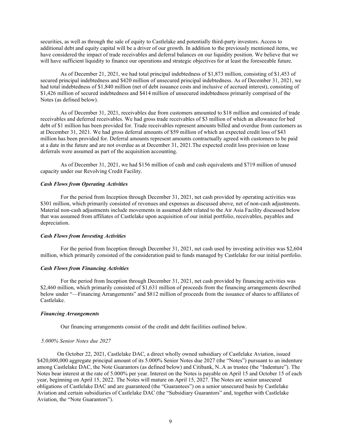securities, as well as through the sale of equity to Castlelake and potentially third-party investors. Access to additional debt and equity capital will be a driver of our growth. In addition to the previously mentioned items, we have considered the impact of trade receivables and deferral balances on our liquidity position. We believe that we will have sufficient liquidity to finance our operations and strategic objectives for at least the foreseeable future.

As of December 21, 2021, we had total principal indebtedness of \$1,873 million, consisting of \$1,453 of secured principal indebtedness and \$420 million of unsecured principal indebtedness. As of December 31, 2021, we had total indebtedness of \$1,840 million (net of debt issuance costs and inclusive of accrued interest), consisting of \$1,426 million of secured indebtedness and \$414 million of unsecured indebtedness primarily comprised of the Notes (as defined below).

As of December 31, 2021, receivables due from customers amounted to \$18 million and consisted of trade receivables and deferred receivables. We had gross trade receivables of \$3 million of which an allowance for bed debt of \$1 million has been provided for. Trade receivables represent amounts billed and overdue from customers as at December 31, 2021. We had gross deferral amounts of \$59 million of which an expected credit loss of \$43 million has been provided for. Deferral amounts represent amounts contractually agreed with customers to be paid at a date in the future and are not overdue as at December 31, 2021.The expected credit loss provision on lease deferrals were assumed as part of the acquisition accounting.

As of December 31, 2021, we had \$156 million of cash and cash equivalents and \$719 million of unused capacity under our Revolving Credit Facility.

## *Cash Flows from Operating Activities*

For the period from Inception through December 31, 2021, net cash provided by operating activities was \$301 million, which primarily consisted of revenues and expenses as discussed above, net of non-cash adjustments. Material non-cash adjustments include movements in assumed debt related to the Air Asia Facility discussed below that was assumed from affiliates of Castlelake upon acquisition of our initial portfolio, receivables, payables and depreciation.

#### *Cash Flows from Investing Activities*

For the period from Inception through December 31, 2021, net cash used by investing activities was \$2,604 million, which primarily consisted of the consideration paid to funds managed by Castlelake for our initial portfolio.

#### *Cash Flows from Financing Activities*

For the period from Inception through December 31, 2021, net cash provided by financing activities was \$2,460 million, which primarily consisted of \$1,631 million of proceeds from the financing arrangements described below under "—Financing Arrangements" and \$812 million of proceeds from the issuance of shares to affiliates of Castlelake.

#### *Financing Arrangements*

Our financing arrangements consist of the credit and debt facilities outlined below.

#### *5.000% Senior Notes due 2027*

On October 22, 2021, Castlelake DAC, a direct wholly owned subsidiary of Castlelake Aviation, issued \$420,000,000 aggregate principal amount of its 5.000% Senior Notes due 2027 (the "Notes") pursuant to an indenture among Castlelake DAC, the Note Guarantors (as defined below) and Citibank, N..A as trustee (the "Indenture"). The Notes bear interest at the rate of 5.000% per year. Interest on the Notes is payable on April 15 and October 15 of each year, beginning on April 15, 2022. The Notes will mature on April 15, 2027. The Notes are senior unsecured obligations of Castlelake DAC and are guaranteed (the "Guarantees") on a senior unsecured basis by Castlelake Aviation and certain subsidiaries of Castlelake DAC (the "Subsidiary Guarantors" and, together with Castlelake Aviation, the "Note Guarantors").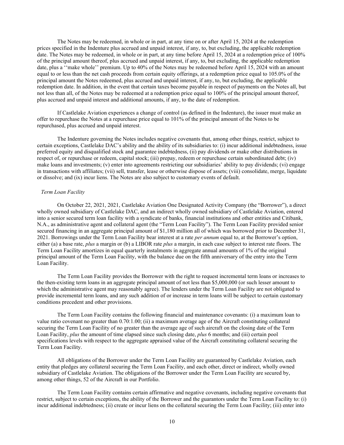The Notes may be redeemed, in whole or in part, at any time on or after April 15, 2024 at the redemption prices specified in the Indenture plus accrued and unpaid interest, if any, to, but excluding, the applicable redemption date. The Notes may be redeemed, in whole or in part, at any time before April 15, 2024 at a redemption price of 100% of the principal amount thereof, plus accrued and unpaid interest, if any, to, but excluding, the applicable redemption date, plus a "make whole" premium. Up to 40% of the Notes may be redeemed before April 15, 2024 with an amount equal to or less than the net cash proceeds from certain equity offerings, at a redemption price equal to 105.0% of the principal amount the Notes redeemed, plus accrued and unpaid interest, if any, to, but excluding, the applicable redemption date. In addition, in the event that certain taxes become payable in respect of payments on the Notes all, but not less than all, of the Notes may be redeemed at a redemption price equal to 100% of the principal amount thereof, plus accrued and unpaid interest and additional amounts, if any, to the date of redemption.

If Castlelake Aviation experiences a change of control (as defined in the Indenture), the issuer must make an offer to repurchase the Notes at a repurchase price equal to 101% of the principal amount of the Notes to be repurchased, plus accrued and unpaid interest.

The Indenture governing the Notes includes negative covenants that, among other things, restrict, subject to certain exceptions, Castlelake DAC's ability and the ability of its subsidiaries to: (i) incur additional indebtedness, issue preferred equity and disqualified stock and guarantee indebtedness, (ii) pay dividends or make other distributions in respect of, or repurchase or redeem, capital stock; (iii) prepay, redeem or repurchase certain subordinated debt; (iv) make loans and investments; (v) enter into agreements restricting our subsidiaries' ability to pay dividends; (vi) engage in transactions with affiliates; (vii) sell, transfer, lease or otherwise dispose of assets; (viii) consolidate, merge, liquidate or dissolve; and (ix) incur liens. The Notes are also subject to customary events of default.

## *Term Loan Facility*

On October 22, 2021, 2021, Castlelake Aviation One Designated Activity Company (the "Borrower"), a direct wholly owned subsidiary of Castlelake DAC, and an indirect wholly owned subsidiary of Castlelake Aviation, entered into a senior secured term loan facility with a syndicate of banks, financial institutions and other entities and Citibank, N.A., as administrative agent and collateral agent (the "Term Loan Facility"). The Term Loan Facility provided senior secured financing in an aggregate principal amount of \$1,180 million all of which was borrowed prior to December 31, 2021. Borrowings under the Term Loan Facility bear interest at a rate *per annum* equal to, at the Borrower's option, either (a) a base rate, *plus* a margin or (b) a LIBOR rate *plus* a margin, in each case subject to interest rate floors. The Term Loan Facility amortizes in equal quarterly instalments in aggregate annual amounts of 1% of the original principal amount of the Term Loan Facility, with the balance due on the fifth anniversary of the entry into the Term Loan Facility.

The Term Loan Facility provides the Borrower with the right to request incremental term loans or increases to the then-existing term loans in an aggregate principal amount of not less than \$5,000,000 (or such lesser amount to which the administrative agent may reasonably agree). The lenders under the Term Loan Facility are not obligated to provide incremental term loans, and any such addition of or increase in term loans will be subject to certain customary conditions precedent and other provisions.

The Term Loan Facility contains the following financial and maintenance covenants: (i) a maximum loan to value ratio covenant no greater than 0.70:1.00; (ii) a maximum average age of the Aircraft constituting collateral securing the Term Loan Facility of no greater than the average age of such aircraft on the closing date of the Term Loan Facility, *plus* the amount of time elapsed since such closing date, *plus* 6 months; and (iii) certain pool specifications levels with respect to the aggregate appraised value of the Aircraft constituting collateral securing the Term Loan Facility.

All obligations of the Borrower under the Term Loan Facility are guaranteed by Castlelake Aviation, each entity that pledges any collateral securing the Term Loan Facility, and each other, direct or indirect, wholly owned subsidiary of Castlelake Aviation. The obligations of the Borrower under the Term Loan Facility are secured by, among other things, 52 of the Aircraft in our Portfolio.

The Term Loan Facility contains certain affirmative and negative covenants, including negative covenants that restrict, subject to certain exceptions, the ability of the Borrower and the guarantors under the Term Loan Facility to: (i) incur additional indebtedness; (ii) create or incur liens on the collateral securing the Term Loan Facility; (iii) enter into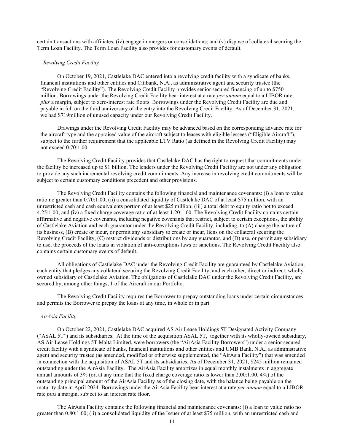certain transactions with affiliates; (iv) engage in mergers or consolidations; and (v) dispose of collateral securing the Term Loan Facility. The Term Loan Facility also provides for customary events of default.

#### *Revolving Credit Facility*

On October 19, 2021, Castlelake DAC entered into a revolving credit facility with a syndicate of banks, financial institutions and other entities and Citibank, N.A., as administrative agent and security trustee (the "Revolving Credit Facility"). The Revolving Credit Facility provides senior secured financing of up to \$750 million. Borrowings under the Revolving Credit Facility bear interest at a rate *per annum* equal to a LIBOR rate, *plus* a margin, subject to zero-interest rate floors. Borrowings under the Revolving Credit Facility are due and payable in full on the third anniversary of the entry into the Revolving Credit Facility. As of December 31, 2021, we had \$719million of unused capacity under our Revolving Credit Facility.

Drawings under the Revolving Credit Facility may be advanced based on the corresponding advance rate for the aircraft type and the appraised value of the aircraft subject to leases with eligible lessees ("Eligible Aircraft"), subject to the further requirement that the applicable LTV Ratio (as defined in the Revolving Credit Facility) may not exceed 0.70:1.00.

The Revolving Credit Facility provides that Castlelake DAC has the right to request that commitments under the facility be increased up to \$1 billion. The lenders under the Revolving Credit Facility are not under any obligation to provide any such incremental revolving credit commitments. Any increase in revolving credit commitments will be subject to certain customary conditions precedent and other provisions.

The Revolving Credit Facility contains the following financial and maintenance covenants: (i) a loan to value ratio no greater than 0.70:1:00; (ii) a consolidated liquidity of Castlelake DAC of at least \$75 million, with an unrestricted cash and cash equivalents portion of at least \$25 million; (iii) a total debt to equity ratio not to exceed 4.25:1.00; and (iv) a fixed charge coverage ratio of at least 1.20:1.00. The Revolving Credit Facility contains certain affirmative and negative covenants, including negative covenants that restrict, subject to certain exceptions, the ability of Castlelake Aviation and each guarantor under the Revolving Credit Facility, including, to (A) change the nature of its business, (B) create or incur, or permit any subsidiary to create or incur, liens on the collateral securing the Revolving Credit Facility, (C) restrict dividends or distributions by any guarantor, and (D) use, or permit any subsidiary to use, the proceeds of the loans in violation of anti-corruptions laws or sanctions. The Revolving Credit Facility also contains certain customary events of default.

All obligations of Castlelake DAC under the Revolving Credit Facility are guaranteed by Castlelake Aviation, each entity that pledges any collateral securing the Revolving Credit Facility, and each other, direct or indirect, wholly owned subsidiary of Castlelake Aviation. The obligations of Castlelake DAC under the Revolving Credit Facility, are secured by, among other things, 1 of the Aircraft in our Portfolio.

The Revolving Credit Facility requires the Borrower to prepay outstanding loans under certain circumstances and permits the Borrower to prepay the loans at any time, in whole or in part.

#### *AirAsia Facility*

On October 22, 2021, Castlelake DAC acquired AS Air Lease Holdings 5T Designated Activity Company ("ASAL 5T") and its subsidiaries. At the time of the acquisition ASAL 5T, together with its wholly-owned subsidiary, AS Air Lease Holdings 5T Malta Limited, were borrowers (the "AirAsia Facility Borrowers") under a senior secured credit facility with a syndicate of banks, financial institutions and other entities and UMB Bank, N.A., as administrative agent and security trustee (as amended, modified or otherwise supplemented, the "AirAsia Facility") that was amended in connection with the acquisition of ASAL 5T and its subsidiaries. As of December 31, 2021, \$245 million remained outstanding under the AirAsia Facility. The AirAsia Facility amortizes in equal monthly instalments in aggregate annual amounts of 3% (or, at any time that the fixed charge coverage ratio is lower than 2.00:1.00, 4%) of the outstanding principal amount of the AirAsia Facility as of the closing date, with the balance being payable on the maturity date in April 2024. Borrowings under the AirAsia Facility bear interest at a rate *per annum* equal to a LIBOR rate *plus* a margin, subject to an interest rate floor.

The AirAsia Facility contains the following financial and maintenance covenants: (i) a loan to value ratio no greater than 0.80:1.00; (ii) a consolidated liquidity of the Issuer of at least \$75 million, with an unrestricted cash and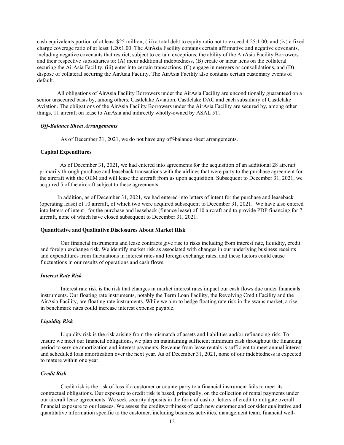cash equivalents portion of at least \$25 million; (iii) a total debt to equity ratio not to exceed 4.25:1.00; and (iv) a fixed charge coverage ratio of at least 1.20:1.00. The AirAsia Facility contains certain affirmative and negative covenants, including negative covenants that restrict, subject to certain exceptions, the ability of the AirAsia Facility Borrowers and their respective subsidiaries to: (A) incur additional indebtedness, (B) create or incur liens on the collateral securing the AirAsia Facility, (iii) enter into certain transactions, (C) engage in mergers or consolidations, and (D) dispose of collateral securing the AirAsia Facility. The AirAsia Facility also contains certain customary events of default.

All obligations of AirAsia Facility Borrowers under the AirAsia Facility are unconditionally guaranteed on a senior unsecured basis by, among others, Castlelake Aviation, Castlelake DAC and each subsidiary of Castlelake Aviation. The obligations of the AirAsia Facility Borrowers under the AirAsia Facility are secured by, among other things, 11 aircraft on lease to AirAsia and indirectly wholly-owned by ASAL 5T.

#### *Off-Balance Sheet Arrangements*

As of December 31, 2021, we do not have any off-balance sheet arrangements.

#### **Capital Expenditures**

 As of December 31, 2021, we had entered into agreements for the acquisition of an additional 28 aircraft primarily through purchase and leaseback transactions with the airlines that were party to the purchase agreement for the aircraft with the OEM and will lease the aircraft from us upon acquisition. Subsequent to December 31, 2021, we acquired 5 of the aircraft subject to these agreements.

In addition, as of December 31, 2021, we had entered into letters of intent for the purchase and leaseback (operating lease) of 10 aircraft, of which two were acquired subsequent to December 31, 2021. We have also entered into letters of intent for the purchase and leaseback (finance lease) of 10 aircraft and to provide PDP financing for 7 aircraft, none of which have closed subsequent to December 31, 2021.

#### **Quantitative and Qualitative Disclosures About Market Risk**

Our financial instruments and lease contracts give rise to risks including from interest rate, liquidity, credit and foreign exchange risk. We identify market risk as associated with changes in our underlying business receipts and expenditures from fluctuations in interest rates and foreign exchange rates, and these factors could cause fluctuations in our results of operations and cash flows.

## *Interest Rate Risk*

Interest rate risk is the risk that changes in market interest rates impact our cash flows due under financials instruments. Our floating rate instruments, notably the Term Loan Facility, the Revolving Credit Facility and the AirAsia Facility, are floating rate instruments. While we aim to hedge floating rate risk in the swaps market, a rise in benchmark rates could increase interest expense payable.

#### *Liquidity Risk*

Liquidity risk is the risk arising from the mismatch of assets and liabilities and/or refinancing risk. To ensure we meet our financial obligations, we plan on maintaining sufficient minimum cash throughout the financing period to service amortization and interest payments. Revenue from lease rentals is sufficient to meet annual interest and scheduled loan amortization over the next year. As of December 31, 2021, none of our indebtedness is expected to mature within one year.

## *Credit Risk*

Credit risk is the risk of loss if a customer or counterparty to a financial instrument fails to meet its contractual obligations. Our exposure to credit risk is based, principally, on the collection of rental payments under our aircraft lease agreements. We seek security deposits in the form of cash or letters of credit to mitigate overall financial exposure to our lessees. We assess the creditworthiness of each new customer and consider qualitative and quantitative information specific to the customer, including business activities, management team, financial well